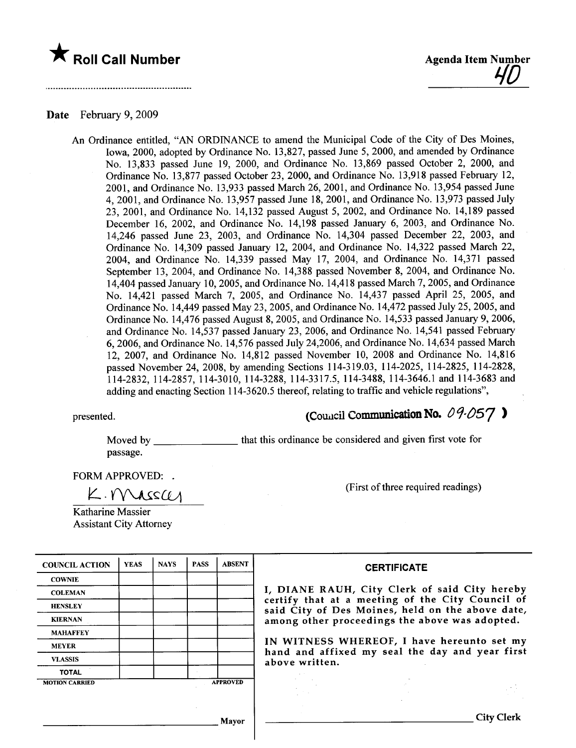



#### Date February 9, 2009

An Ordinance entitled, "AN ORDINANCE to amend the Municipal Code of the City of Des Moines, Iowa, 2000, adopted by Ordinance No. 13,827, passed June 5, 2000, and amended by Ordinance No. 13,833 passed June 19, 2000, and Ordinance No. 13,869 passed October 2, 2000, and Ordinance No. 13,877 passed October 23, 2000, and Ordinance No. 13,918 passed February 12, 2001, and Ordinance No. 13,933 passed March 26, 2001, and Ordinance No. 13,954 passed June 4,2001, and Ordinance No. 13,957 passed June 18,2001, and Ordinance No. 13,973 passed July 23, 2001, and Ordinance No. 14,132 passed August 5, 2002, and Ordinance No. 14,189 passed December 16, 2002, and Ordinance No. 14,198 passed January 6, 2003, and Ordinance No. 14,246 passed June 23, 2003, and Ordinance No. 14,304 passed December 22, 2003, and Ordinance No. 14,309 passed January 12, 2004, and Ordinance No. 14,322 passed March 22, 2004, and Ordinance No. 14,339 passed May 17, 2004, and Ordinance No. 14,371 passed September 13, 2004, and Ordinance No. 14,388 passed November 8, 2004, and Ordinance No. 14,404 passed January 10,2005, and Ordinance No. 14,418 passed March 7, 2005, and Ordinance No. 14,421 passed March 7, 2005, and Ordinance No. 14,437 passed April 25, 2005, and Ordinance No. 14,449 passed May 23,2005, and Ordinance No. 14,472 passed July 25,2005, and Ordinance No. 14,476 passed August 8, 2005, and Ordinance No. 14,533 passed January 9,2006, and Ordinance No. 14,537 passed January 23, 2006, and Ordinance No. 14,541 passed February 6,2006, and Ordinance No. 14,576 passed July 24,2006, and Ordinance No. 14,634 passed March 12, 2007, and Ordinance No. 14,812 passed November 10, 2008 and Ordinance No. 14,816 passed November 24, 2008, by amending Sections 114-319.03, 114-2025, 114-2825, 114-2828, 114-2832,114-2857,114-3010,114-3288,114-3317.5, 114-3488, 114-3646.1 and 114-3683 and adding and enacting Section 114-3620.5 thereof, relating to traffic and vehicle regulations",

# presented. (CoUicil Communicaon No. Oq.l)57 )

Moved by \_\_\_\_\_\_\_\_\_\_\_\_\_\_\_\_\_\_\_that this ordinance be considered and given first vote for passage.

FORM APPROVED:

(First of three required readings)

Katharine Massier Assistant City Attorney

 $K.$  Mass $\mu$ 

| <b>COUNCIL ACTION</b> | <b>YEAS</b> | <b>NAYS</b> | <b>PASS</b> | <b>ABSENT</b>   | <b>CERTIFICATE</b>                                                                                                                                                                                      |  |  |  |
|-----------------------|-------------|-------------|-------------|-----------------|---------------------------------------------------------------------------------------------------------------------------------------------------------------------------------------------------------|--|--|--|
| <b>COWNIE</b>         |             |             |             |                 | I, DIANE RAUH, City Clerk of said City hereby<br>certify that at a meeting of the City Council of<br>said City of Des Moines, held on the above date,<br>among other proceedings the above was adopted. |  |  |  |
| <b>COLEMAN</b>        |             |             |             |                 |                                                                                                                                                                                                         |  |  |  |
| <b>HENSLEY</b>        |             |             |             |                 |                                                                                                                                                                                                         |  |  |  |
| <b>KIERNAN</b>        |             |             |             |                 |                                                                                                                                                                                                         |  |  |  |
| <b>MAHAFFEY</b>       |             |             |             |                 |                                                                                                                                                                                                         |  |  |  |
| <b>MEYER</b>          |             |             |             |                 | IN WITNESS WHEREOF, I have hereunto set my<br>hand and affixed my seal the day and year first                                                                                                           |  |  |  |
| <b>VLASSIS</b>        |             |             |             |                 | above written.                                                                                                                                                                                          |  |  |  |
| <b>TOTAL</b>          |             |             |             |                 |                                                                                                                                                                                                         |  |  |  |
| <b>MOTION CARRIED</b> |             |             |             | <b>APPROVED</b> |                                                                                                                                                                                                         |  |  |  |
|                       |             |             |             |                 |                                                                                                                                                                                                         |  |  |  |
|                       |             |             |             |                 |                                                                                                                                                                                                         |  |  |  |
| Mayor                 |             |             |             |                 | <b>City Clerk</b>                                                                                                                                                                                       |  |  |  |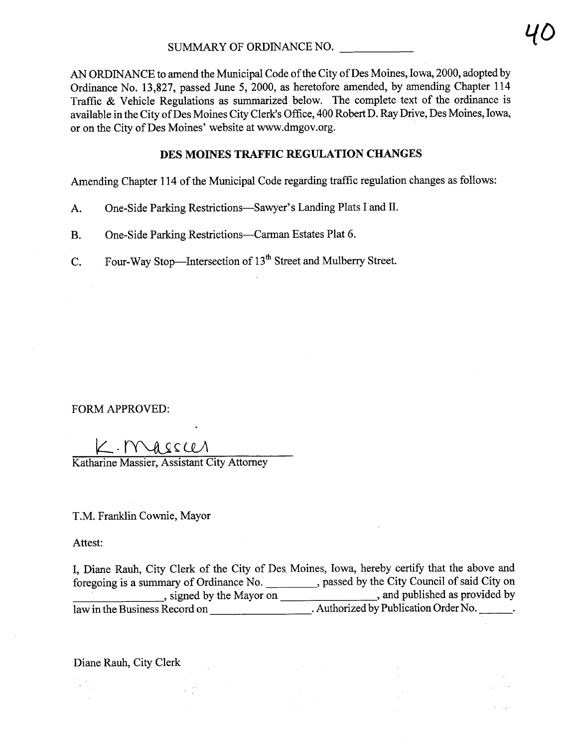AN ORDINANCE to amend the Municipal Code of the City of Des Moines, Iowa, 2000, adopted by Ordinance No. 13,827, passed June 5, 2000, as heretofore amended, by amending Chapter 114 Traffic  $\&$  Vehicle Regulations as summarized below. The complete text of the ordinance is available in the City of Des Moines City Clerk's Office, 400 Robert D. Ray Drive, Des Moines, Iowa, or on the City of Des Moines' website at www.dmgov.org.

## DES MOINES TRAFFIC REGULATION CHANGES

Amending Chapter 114 of the Municipal Code regarding traffic regulation changes as follows:

- A. One-Side Parking Restrictions-Sawyer's Landing Plats I and II.
- B. One-Side Parking Restrictions—Carman Estates Plat 6.
- C. Four-Way Stop-Intersection of 13<sup>th</sup> Street and Mulberry Street.

FORM APPROVED:

L. Mass CA<br>Katharine Massier, Assistant City Attorney

 $\sim 22$ 

T.M. Franklin Cownie, Mayor

Attest:

I, Diane Rauh, City Clerk of the City of Des, Moines, Iowa, hereby certify that the above and foregoing is a summary of Ordinance No. 10. All ensures passed by the City Council of said City on , signed by the Mayor on , and published as provided by law in the Business Record on \_\_\_\_\_\_\_\_\_\_\_\_\_\_\_\_\_\_\_\_\_\_. Authorized by Publication Order No.

Diane Rauh, City Clerk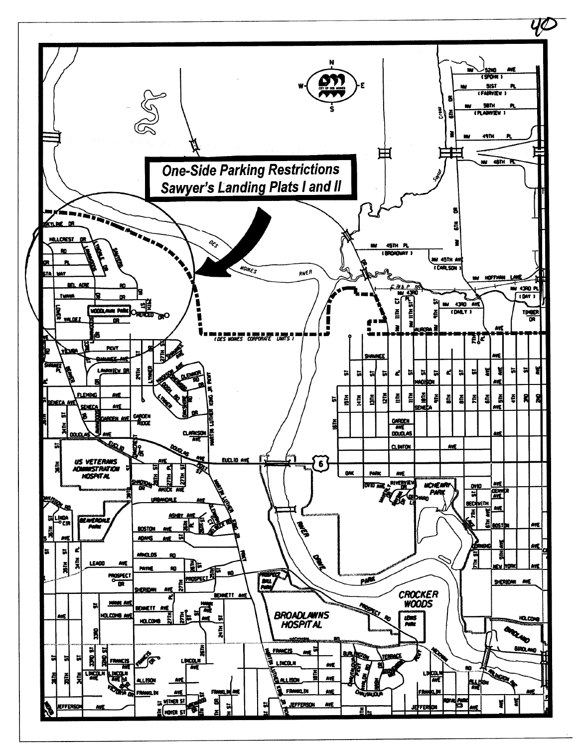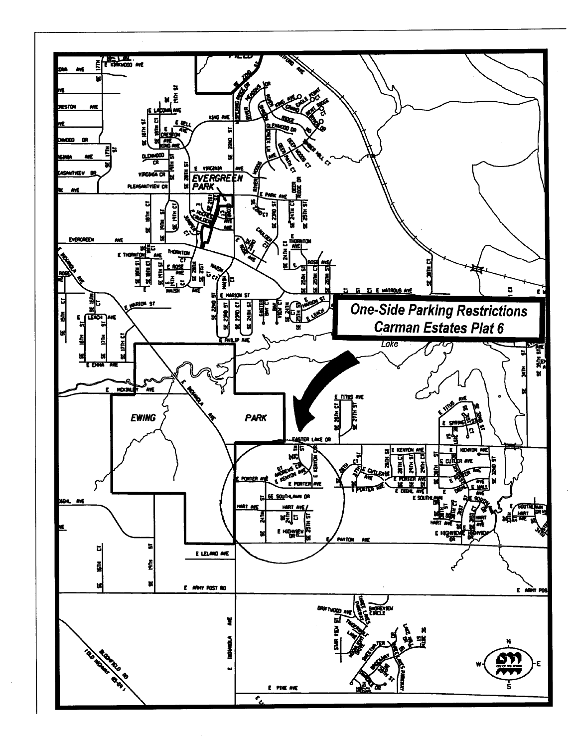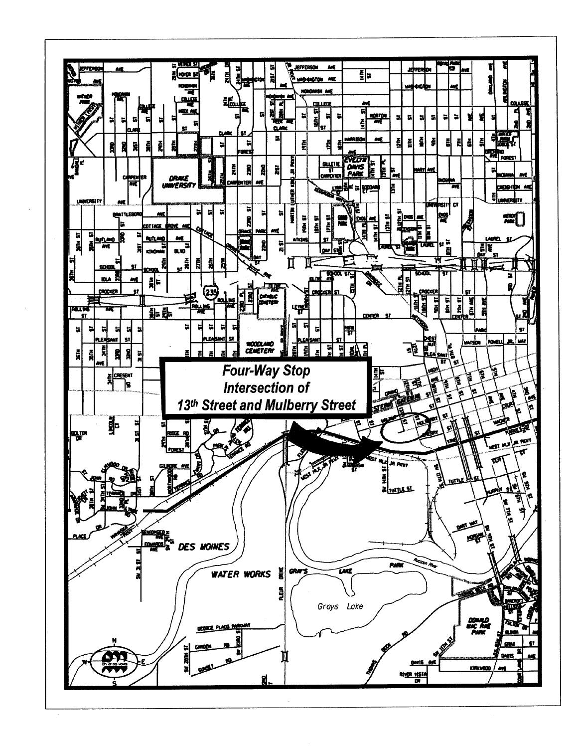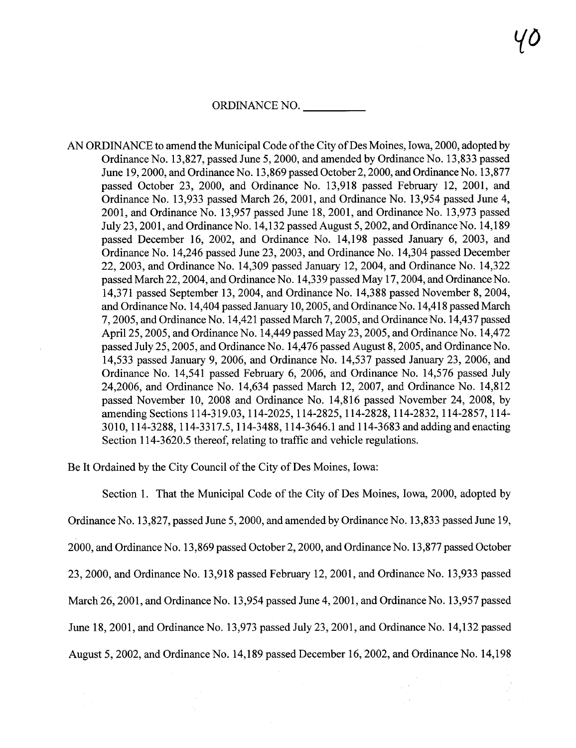#### ORDINANCE NO.

AN ORDINANCE to amend the Municipal Code of the City of Des Moines, Iowa, 2000, adopted by Ordinance No. 13,827, passed June 5, 2000, and amended by Ordinance No. 13,833 passed June 19,2000, and Ordinance No. 13,869 passed October 2,2000, and Ordinance No. 13,877 passed October 23, 2000, and Ordinance No. 13,918 passed February 12, 2001, and Ordinance No. 13,933 passed March 26,2001, and Ordinance No. 13,954 passed June 4, 2001, and Ordinance No. 13,957 passed June 18,2001, and Ordinance No. 13,973 passed July 23,2001, and Ordinance No. 14,132 passed August 5, 2002, and Ordinance No. 14,189 passed December 16, 2002, and Ordinance No. 14,198 passed January 6, 2003, and Ordinance No. 14,246 passed June 23, 2003, and Ordinance No. 14,304 passed December 22,2003, and Ordinance No. 14,309 passed January 12,2004, and Ordinance No. 14,322 passed March 22,2004, and Ordinance No. 14,339 passed May 17,2004, and Ordinance No. 14,371 passed September 13,2004, and Ordinance No. 14,388 passed November 8, 2004, and Ordinance No. 14,404 passed January 10, 2005, and Ordinance No. 14,418 passed March 7,2005, and Ordinance No. 14,421 passed March 7, 2005, and Ordinance No. 14,437 passed April 25, 2005, and Ordinance No. 14,449 passed May 23,2005, and Ordinance No. 14,472 passed July 25,2005, and Ordinance No. 14,476 passed August 8, 2005, and Ordinance No. 14,533 passed January 9, 2006, and Ordinance No. 14,537 passed January 23, 2006, and Ordinance No. 14,541 passed February 6, 2006, and Ordinance No. 14,576 passed July 24,2006, and Ordinance No. 14,634 passed March 12, 2007, and Ordinance No. 14,812 passed November 10, 2008 and Ordinance No. 14,816 passed November 24, 2008, by amending Sections 114-319.03, 114-2025, 114-2825, 114-2828, 114-2832, 114-2857, 114- 3010,114-3288, 114-3317.5, 114-3488, 114-3646.1 and 114-3683 and adding and enacting Section 114-3620.5 thereof, relating to traffic and vehicle regulations.

Be It Ordained by the City Council of the City of Des Moines, Iowa:

Section 1. That the Municipal Code of the City of Des Moines, Iowa, 2000, adopted by Ordinance No. 13,827, passed June 5, 2000, and amended by Ordinance No. 13,833 passed June 19, 2000, and Ordinance No. 13,869 passed October 2,2000, and Ordinance No. 13,877 passed October 23, 2000, and Ordinance No. 13,918 passed February 12, 2001, and Ordinance No. 13,933 passed March 26, 2001, and Ordinance No. 13,954 passed June 4, 2001, and Ordinance No. 13,957 passed June 18,2001, and Ordinance No. 13,973 passed July 23,2001, and Ordinance No. 14,132 passed August 5, 2002, and Ordinance No. 14,189 passed December 16,2002, and Ordinance No. 14,198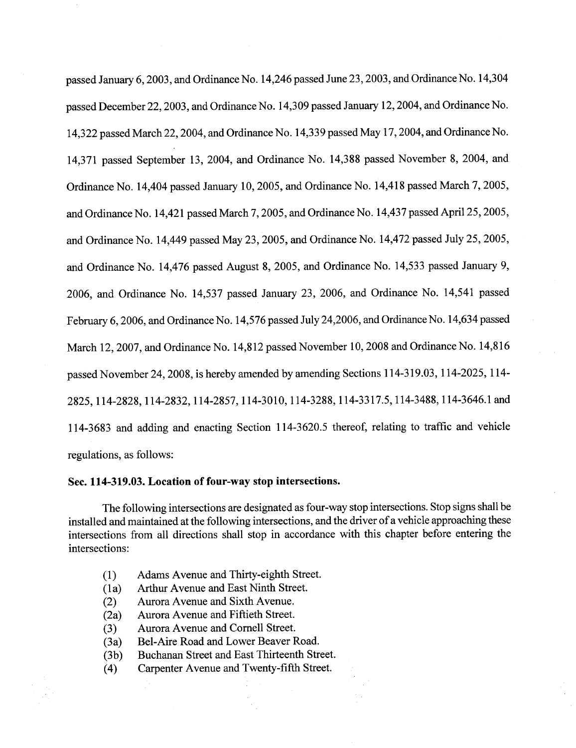passed January 6, 2003, and Ordinance No. 14,246 passed June 23, 2003, and Ordinance No. 14,304 passed December 22, 2003, and Ordinance No. 14,309 passed January 12, 2004, and Ordinance No. 14,322 passed March 22,2004, and Ordinance No. 14,339 passed May 17,2004, and Ordinance No. 14,371 passed September 13, 2004, and Ordinance No. 14,388 passed November 8, 2004, and Ordinance No. 14,404 passed January 10, 2005, and Ordinance No. 14,418 passed March 7, 2005, and Ordinance No. 14,421 passed March 7,2005, and Ordinance No. 14,437 passed April 25, 2005, and Ordinance No. 14,449 passed May 23,2005, and Ordinance No. 14,472 passed July 25,2005, and Ordinance No. 14,476 passed August 8, 2005, and Ordinance No. 14,533 passed January 9,  $2006$ , and Ordinance No. 14,537 passed January 23, 2006, and Ordinance No. 14,541 passed February 6, 2006, and Ordinance No. 14,576 passed July 24, 2006, and Ordinance No. 14, 634 passed March 12,2007, and Ordinance No. 14,812 passed November 10,2008 and Ordinance No. 14,816 passed November 24,2008, is hereby amended by amending Sections 114-319.03, 114-2025, 114- 2825,114-2828,114-2832,114-2857,114-3010, 114-3288, 114-3317.5,114-3488,114-3646.1 and 114-3683 and adding and enacting Section 114-3620.5 thereof, relating to traffc and vehicle regulations, as follows:

#### Sec. 114-319.03. Location of four-way stop intersections.

The following intersections are designated as four-way stop intersections. Stop signs shall be installed and maintained at the following intersections, and the driver of a vehicle approaching these intersections from all directions shall stop in accordance with this chapter before entering the intersections:

- (1) Adams Avenue and Thirty-eighth Street.<br>(1a) Arthur Avenue and East Ninth Street.
- Arthur Avenue and East Ninth Street.
- (2) Aurora Avenue and Sixth Avenue.<br>(2a) Aurora Avenue and Fiftieth Street.
- (2a) Aurora Avenue and Fiftieth Street.<br>
(3) Aurora Avenue and Cornell Street.
- Aurora Avenue and Cornell Street.
- (3a) Bel-Aire Road and Lower Beaver Road.<br>(3b) Buchanan Street and East Thirteenth Stre
- 
- (3b) Buchanan Street and East Thirteenth Street.<br>
(4) Carpenter Avenue and Twenty-fifth Street. Carpenter Avenue and Twenty-fifth Street.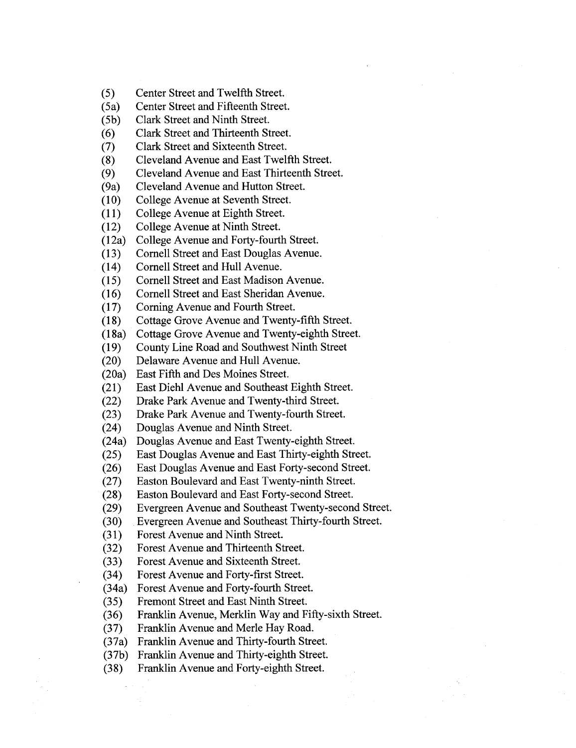- (5) Center Street and Twelfth Street.<br>
(5a) Center Street and Fifteenth Street
- (5a) Center Street and Fifteenth Street.<br>(5b) Clark Street and Ninth Street.
- (5b) Clark Street and Ninth Street.<br>(6) Clark Street and Thirteenth St
- (6) Clark Street and Thirteenth Street.<br>(7) Clark Street and Sixteenth Street.
- (7) Clark Street and Sixteenth Street.<br>
(8) Cleveland Avenue and East Twel:
- (8) Cleveland Avenue and East Twelfth Street.<br>(9) Cleveland Avenue and East Thirteenth Stre
- (9) Cleveland Avenue and East Thirteenth Street.<br>(9a) Cleveland Avenue and Hutton Street.
- Cleveland Avenue and Hutton Street.
- (10) College Avenue at Seventh Street.<br>(11) College Avenue at Eighth Street.
- (11) College Avenue at Eighth Street.<br>(12) College Avenue at Ninth Street.
- (12) College Avenue at Ninth Street.<br>(12a) College Avenue and Forty-fourt
- (12a) College Avenue and Forty-fourth Street.<br>(13) Cornell Street and East Douglas Avenue
- Cornell Street and East Douglas Avenue.
- (14) Cornell Street and Hull Avenue.<br>(15) Cornell Street and East Madison
- (15) Cornell Street and East Madison Avenue.<br>(16) Cornell Street and East Sheridan Avenue.
- (16) Cornell Street and East Sheridan Avenue.
- (17) Corning Avenue and Fourth Street.<br>(18) Cottage Grove Avenue and Twenty
- (18) Cottage Grove Avenue and Twenty-fifth Street.<br>(18a) Cottage Grove Avenue and Twenty-eighth Stree
- Cottage Grove Avenue and Twenty-eighth Street.
- (19) County Line Road and Southwest Ninth Street
- (20) Delaware Avenue and Hull Avenue.
- (20a) East Fifth and Des Moines Street.<br>(21) East Diehl Avenue and Southeast
- (21) East Diehl Avenue and Southeast Eighth Street.<br>
(22) Drake Park Avenue and Twenty-third Street.
- (22) Drake Park Avenue and Twenty-third Street.<br>(23) Drake Park Avenue and Twenty-fourth Street
- (23) Drake Park Avenue and Twenty-fourth Street.<br>(24) Douglas Avenue and Ninth Street.
- (24) Douglas Avenue and Ninth Street.<br>(24a) Douglas Avenue and East Twenty
- (24a) Douglas Avenue and East Twenty-eighth Street.<br>(25) East Douglas Avenue and East Thirty-eighth Str
- (25) East Douglas Avenue and East Thirty-eighth Street.<br>
(26) East Douglas Avenue and East Forty-second Street.
- East Douglas Avenue and East Forty-second Street.
- (27) Easton Boulevard and East Twenty-ninth Street.
- (28) Easton Boulevard and East Forty-second Street.<br>
(29) Evergreen Avenue and Southeast Twenty-secon
- (29) Evergreen Avenue and Southeast Twenty-second Street.<br>
(30) Evergreen Avenue and Southeast Thirty-fourth Street.
- (30) Evergreen Avenue and Southeast Thirty-fourth Street.<br>
(31) Forest Avenue and Ninth Street.
- (31) Forest Avenue and Ninth Street.<br>
(32) Forest Avenue and Thirteenth St
- Forest Avenue and Thirteenth Street.
- (33) Forest Avenue and Sixteenth Street.<br>
(34) Forest Avenue and Forty-first Street
- (34) Forest Avenue and Forty-first Street.<br>(34a) Forest Avenue and Forty-fourth Street.
- 
- (34a) Forest Avenue and Forty-fourth Street.<br>(35) Fremont Street and East Ninth Street.
- (35) Fremont Street and East Ninth Street.<br>
(36) Franklin Avenue, Merklin Way and F Franklin Avenue, Merklin Way and Fifty-sixth Street.
- (37) Franklin Avenue and Merle Hay Road.
- (37a) Franklin Avenue and Thirty-fourth Street.<br>(37b) Franklin Avenue and Thirty-eighth Street.
- (37b) Franklin Avenue and Thirty-eighth Street.<br>(38) Franklin Avenue and Forty-eighth Street.
- Franklin Avenue and Forty-eighth Street.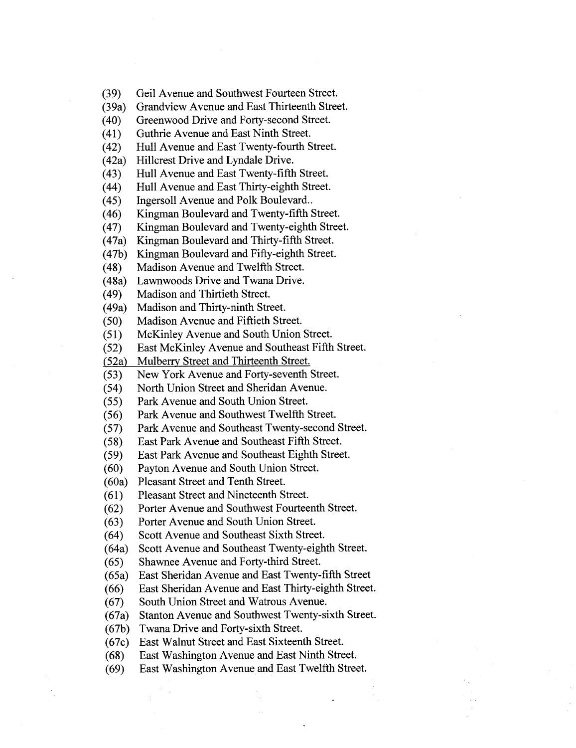(39) Geil Avenue and Southwest Fourteen Street.

(39a) Grandview Avenue and East Thirteenth Street.<br>(40) Greenwood Drive and Forty-second Street.

(40) Greenwood Drive and Forty-second Street.<br>
(41) Guthrie Avenue and East Ninth Street.

(41) Guthrie Avenue and East Ninth Street.<br>(42) Hull Avenue and East Twenty-fourth S

(42) Hull Avenue and East Twenty-fourth Street.<br>(42a) Hillcrest Drive and Lyndale Drive.

Hillcrest Drive and Lyndale Drive.

(43) Hull Avenue and East Twenty-fifth Street.<br>
(44) Hull Avenue and East Thirty-eighth Street.

(44) Hull Avenue and East Thirty-eighth Street.<br>(45) Ingersoll Avenue and Polk Boulevard..

(45) Ingersoll Avenue and Polk Boulevard..<br>(46) Kingman Boulevard and Twenty-fifth S

(46) Kingman Boulevard and Twenty-fifth Street.<br>(47) Kingman Boulevard and Twenty-eighth Street.

(47) Kingman Boulevard and Twenty-eighth Street.<br>(47a) Kingman Boulevard and Thirty-fifth Street.

(47a) Kingman Boulevard and Thirty-fifth Street.<br>(47b) Kingman Boulevard and Fifty-eighth Street

(47b) Kingman Boulevard and Fifty-eighth Street.<br>(48) Madison Avenue and Twelfth Street.

(48) Madison Avenue and Twelfth Street.<br>(48a) Lawnwoods Drive and Twana Drive.

(48a) Lawnwoods Drive and Twana Drive.<br>(49) Madison and Thirtieth Street.

(49) Madison and Thirtieth Street.<br>(49a) Madison and Thirty-ninth Stre

(49a) Madison and Thirty-ninth Street.<br>(50) Madison Avenue and Fiftieth Str

(50) Madison Avenue and Fiftieth Street.<br>(51) McKinley Avenue and South Union

(51) McKinley Avenue and South Union Street.<br>(52) East McKinley Avenue and Southeast Fifth

(52) East McKinley Avenue and Southeast Fifth Street.<br>(52a) Mulberry Street and Thirteenth Street.

(52a) Mulberry Street and Thirteenth Street.<br>(53) New York Avenue and Forty-seventh

(53) New York Avenue and Forty-seventh Street.<br>(54) North Union Street and Sheridan Avenue.

(54) North Union Street and Sheridan Avenue.

(55) Park Avenue and South Union Street.<br>(56) Park Avenue and Southwest Twelfth !

(56) Park Avenue and Southwest Twelfth Street.<br>(57) Park Avenue and Southeast Twenty-second

Park Avenue and Southeast Twenty-second Street.

(58) East Park Avenue and Southeast Fifth Street.<br>(59) East Park Avenue and Southeast Eighth Street.

East Park Avenue and Southeast Eighth Street.

(60) Payton Avenue and South Union Street.

(60a) Pleasant Street and Tenth Street.<br>(61) Pleasant Street and Nineteenth S (61) Pleasant Street and Nineteenth Street.<br>(62) Porter Avenue and Southwest Fourtee

(62) Porter Avenue and Southwest Fourteenth Street.<br>(63) Porter Avenue and South Union Street.

Porter Avenue and South Union Street.

(64) Scott A venue and Southeast Sixth Street.

(64a) Scott Avenue and Southeast Twenty-eighth Street.<br>(65) Shawnee Avenue and Forty-third Street.

(65) Shawnee Avenue and Forty-third Street.<br>(65a) East Sheridan Avenue and East Twenty-

(65a) East Sheridan Avenue and East Twenty-fifth Street

East Sheridan Avenue and East Thirty-eighth Street.

(67) South Union Street and Watrous Avenue.

(67a) Stanton Avenue and Southwest Twenty-sixth Street.

(67b) Twana Drive and Forty-sixth Street.<br>(67c) East Walnut Street and East Sixteen

(67c) East Walnut Street and East Sixteenth Street.

(68) East Washington Avenue and East Ninth Street.<br>(69) East Washington Avenue and East Twelfth Stree East Washington Avenue and East Twelfth Street.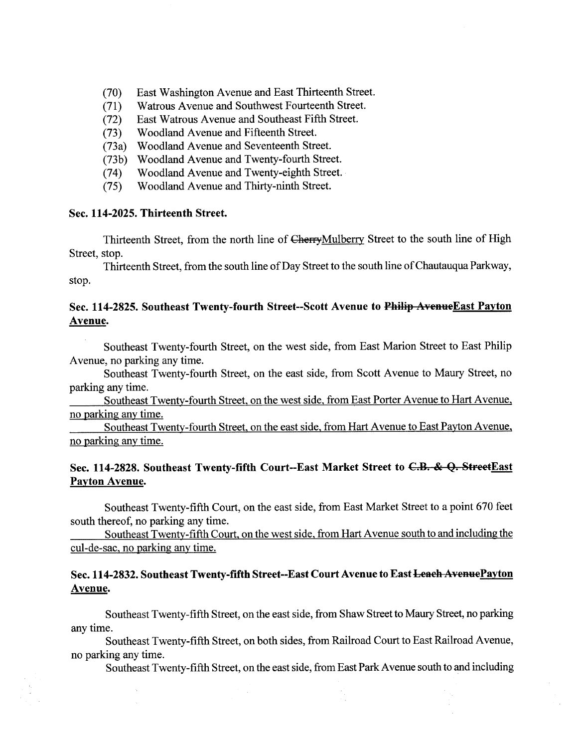- (70) East Washington Avenue and East Thirteenth Street.<br>
(71) Watrous Avenue and Southwest Fourteenth Street.
- (71) Watrous Avenue and Southwest Fourteenth Street.<br>(72) East Watrous Avenue and Southeast Fifth Street.
- (72) East Watrous Avenue and Southeast Fifth Street.<br>(73) Woodland Avenue and Fifteenth Street.
- (73) Woodland Avenue and Fifteenth Street.<br>(73a) Woodland Avenue and Seventeenth Stre
- (73 a) Woodland Avenue and Seventeenth Street.
- 
- (73b) Woodland Avenue and Twenty-fourth Street.<br>(74) Woodland Avenue and Twenty-eighth Street. (74) Woodland Avenue and Twenty-eighth Street.<br>(75) Woodland Avenue and Thirty-ninth Street.
- Woodland Avenue and Thirty-ninth Street.

#### Sec. 114-2025. Thirteenth Street.

Thirteenth Street, from the north line of CherryMulberry Street to the south line of High Street, stop.

Thirteenth Street, from the south line of Day Street to the south line of Chautauqua Parkway, stop.

# Sec. 114-2825. Southeast Twenty-fourth Street--Scott Avenue to Philip Avenue East Payton Avenue.

Southeast Twenty-fourh Street, on the west side, from East Marion Street to East Philp A venue, no parking any time.

Southeast Twenty-fourth Street, on the east side, from Scott Avenue to Maury Street, no parking any time.

Southeast Twenty-fourth Street, on the west side, from East Porter Avenue to Hart Avenue, no parking any time.

Southeast Twenty-fourth Street, on the east side, from Hart Avenue to East Payton Avenue, no parking any time.

# Sec. 114-2828. Southeast Twenty-fifth Court--East Market Street to C.B. & Q. StreetEast Payton Avenue.

Southeast Twenty-fifth Cour, on the east side, from East Market Street to a point 670 feet south thereof, no parking any time.

Southeast Twenty-fifth Court, on the west side, from Har A venue south to and including the cul-de-sac, no parking any time.

# Sec. 114-2832. Southeast Twenty-fifth Street--East Court Avenue to East Leach Avenue Payton Avenue.

Southeast Twenty-fifth Street, on the east side, from Shaw Street to Maury Street, no parking any time.

Southeast Twenty-fifth Street, on both sides, from Railroad Court to East Railroad Avenue, no parking any time.

Southeast Twenty-fifth Street, on the east side, from East Park Avenue south to and including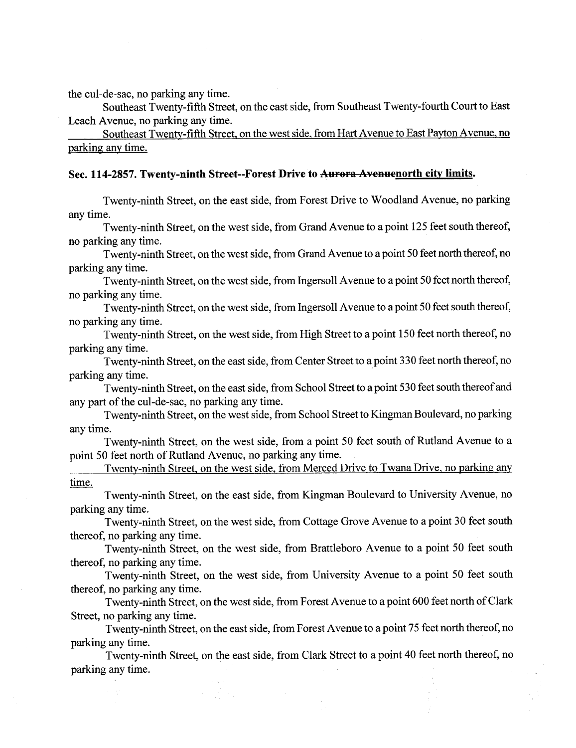the cul-de-sac, no parking any time.

 $\omega \rightarrow \omega$ 

Southeast Twenty-fifth Street, on the east side, from Southeast Twenty-fourth Court to East Leach Avenue, no parking any time.

Southeast Twenty-fifth Street, on the west side, from Hart Avenue to East Payton Avenue, no parking any time.

#### Sec. 114-2857. Twenty-ninth Street--Forest Drive to Aurora Avenuenorth city limits.

Twenty-ninth Street, on the east side, from Forest Drive to Woodland Avenue, no parking any time.

Twenty-ninth Street, on the west side, from Grand Avenue to a point 125 feet south thereof, no parking any time.

Twenty-ninth Street, on the west side, from Grand A venue to a point 50 feet north thereof, no parking any time.

Twenty-ninth Street, on the west side, from Ingersoll Avenue to a point 50 feet north thereof, no parking any time.

Twenty-ninth Street, on the west side, from Ingersoll Avenue to a point 50 feet south thereof, no parking any time.

Twenty-ninth Street, on the west side, from High Street to a point 150 feet north thereof, no parking any time.

Twenty-ninth Street, on the east side, from Center Street to a point 330 feet north thereof, no parking any time. .

Twenty-ninth Street, on the east side, from School Street to a point 530 feet south thereof and any part of the cul-de-sac, no parking any time.

Twenty-ninth Street, on the west side, from School Street to Kingman Boulevard, no parking any time.

Twenty-ninth Street, on the west side, from a point 50 feet south of Rutland Avenue to a point 50 feet north of Rutland Avenue, no parking any time.

Twenty-ninth Street. on the west side, from Merced Drive to Twana Drive, no parking any time.

Twenty-ninth Street, on the east side, from Kingman Boulevard to University Avenue, no parking any time.

Twenty-ninth Street, on the west side, from Cottage Grove Avenue to a point 30 feet south thereof, no parking any time.

Twenty-ninth Street, on the west side, from Brattleboro Avenue to a point 50 feet south thereof, no parking any time.

Twenty-ninth Street, on the west side, from University Avenue to a point 50 feet south thereof, no parking any time.

Twenty-ninth Street, on the west side, from Forest Avenue to a point 600 feet north of Clark Street, no parking any time.

Twenty-ninth Street, on the east side, from Forest Avenue to a point 75 feet north thereof, no parking any time.

Twenty-ninth Street, on the east side, from Clark Street to a point 40 feet north thereof, no parking any time.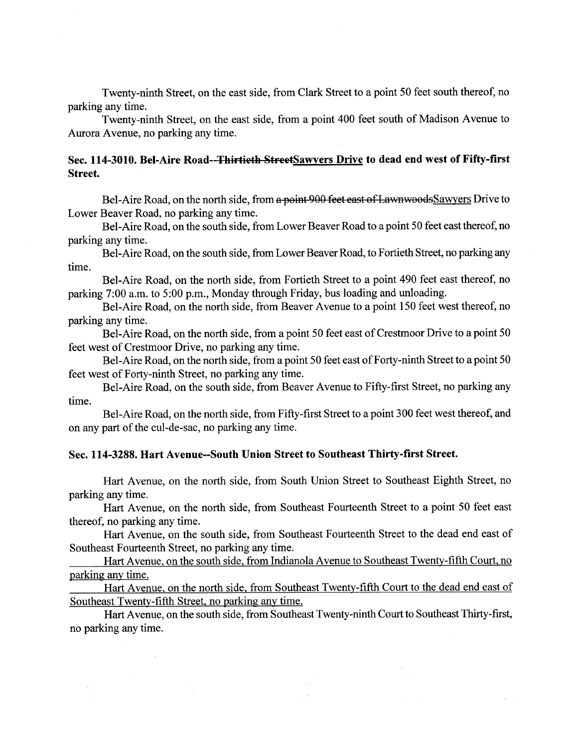Twenty-ninth Street, on the east side, from Clark Street to a point 50 feet south thereof, no parking any time.

Twenty-ninth Street, on the east side, from a point 400 feet south of Madison Avenue to Aurora Avenue, no parking any time.

# Sec. 114-3010. Bel-Aire Road--Thirtieth StreetSawyers Drive to dead end west of Fifty-first Street.

Bel-Aire Road, on the north side, from a point 900 feet east of LawnwoodsSawyers Drive to Lower Beaver Road, no parking any time.

Bel-Aire Road, on the south side, from Lower Beaver Road to a point 50 feet east thereof, no parking any time.

Bel-Aire Road, on the south side, from Lower Beaver Road, to Fortieth Street, no parking any time.

Bel-Aire Road, on the north side, from Fortieth Street to a point 490 feet east thereof, no parking 7:00 a.m. to 5:00 p.m., Monday through Friday, bus loading and unloading.

Bel-Aire Road, on the north side, from Beaver Avenue to a point 150 feet west thereof, no parking any time.

Bel-Aire Road, on the north side, from a point 50 feet east of Crestmoor Drive to a point 50 feet west of Crestmoor Drive, no parking any time.

Bel-Aire Road, on the north side, from a point 50 feet east of Forty-ninth Street to a point 50 feet west of Forty-ninth Street, no parking any time.

Bel-Aire Road, on the south side, from Beaver Avenue to Fifty-first Street, no parking any time.

Bel-Aire Road, on the north side, from Fifty-first Street to a point 300 feet west thereof, and on any part of the cul-de-sac, no parking any time.

#### Sec. 114-3288. Hart Avenue--South Union Street to Southeast Thirty-first Street.

Hart Avenue, on the north side, from South Union Street to Southeast Eighth Street, no parking any time.

Hart Avenue, on the north side, from Southeast Fourteenth Street to a point 50 feet east thereof, no parking any time.

Hart Avenue, on the south side, from Southeast Fourteenth Street to the dead end east of Southeast Fourteenth Street, no parking any time.

Hart Avenue, on the south side, from Indianola Avenue to Southeast Twenty-fifth Court, no parking any time.

Hart Avenue, on the north side, from Southeast Twenty-fifth Court to the dead end east of Southeast Twenty-fifth Street, no parking any time.

Hart Avenue, on the south side, from Southeast Twenty-ninth Court to Southeast Thirty-first, no parking any time.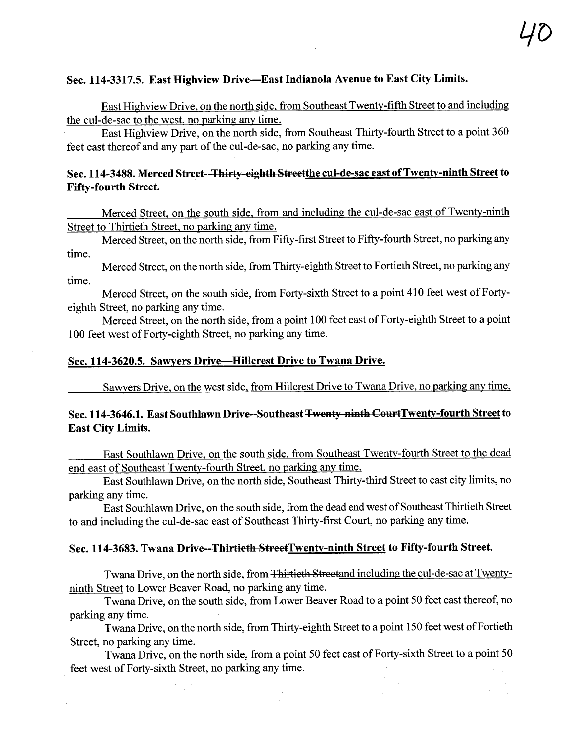### Sec. 114-3317.5. East Highview Drive-East Indianola Avenue to East City Limits.

East Highview Drive, on the north side, from Southeast Twenty-fifth Street to and including the cul-de-sac to the west, no parking any time.

East Highview Drive, on the north side, from Southeast Thirty-fourth Street to a point 360 feet east thereof and any part of the cul-de-sac, no parking any time.

# Sec. 114-3488. Merced Street--Thirty-eighth Streetthe cul-de-sac east of Twenty-ninth Street to Fifty-fourth Street.

Merced Street, on the south side, from and including the cul-de-sac east of Twenty-ninth Street to Thirtieth Street, no parking any time.

Merced Street, on the north side, from Fifty-first Street to Fifty-fourth Street, no parking any time.

Merced Street, on the north side, from Thirty-eighth Street to Fortieth Street, no parking any time.

Merced Street, on the south side, from Forty-sixth Street to a point 410 feet west of Fortyeighth Street, no parking any time.

Merced Street, on the north side, from a point 100 feet east of Forty-eighth Street to a point 100 feet west of Forty-eighth Street, no parking any time.

### Sec. 114-3620.5. Sawyers Drive-Hilcrest Drive to Twana Drive.

Sawyers Drive, on the west side, from Hilcrest Drive to Twana Drive, no parking any time.

# Sec. 114-3646.1. East Southlawn Drive--Southeast Twenty-ninth CourtTwenty-fourth Street to East City Limits.

East Southlawn Drive, on the south side, from Southeast Twenty-fourh Street to the dead end east of Southeast Twenty-fourth Street, no parking any time.

East Southlawn Drive, on the north side, Southeast Thirty-third Street to east city limits, no parking any time.

East Southlawn Drive, on the south side, from the dead end west of Southeast Thirtieth Street to and including the cul-de-sac east of Southeast Thirty-first Court, no parking any time.

#### Sec. 114-3683. Twana Drive--Thirtieth StreetTwenty-ninth Street to Fifty-fourth Street.

Twana Drive, on the north side, from <del>Thirtieth Streetand including the cul-de-sac at Twenty-</del> ninth Street to Lower Beaver Road, no parking any time.

Twana Drive, on the south side, from Lower Beaver Road to a point 50 feet east thereof, no parking any time.

Twana Drive, on the north side, from Thirty-eighth Street to a point 150 feet west of Fortieth Street, no parking any time.

Twana Drive, on the north side, from a point 50 feet east of Forty-sixth Street to a point 50 feet west of Forty-sixth Street, no parking any time.